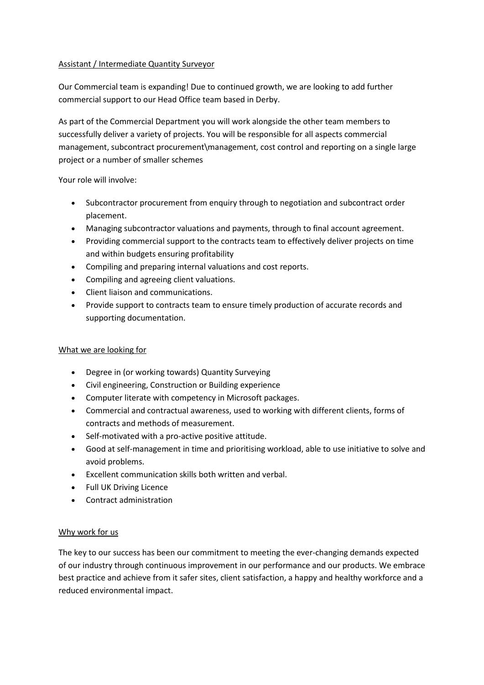## Assistant / Intermediate Quantity Surveyor

Our Commercial team is expanding! Due to continued growth, we are looking to add further commercial support to our Head Office team based in Derby.

As part of the Commercial Department you will work alongside the other team members to successfully deliver a variety of projects. You will be responsible for all aspects commercial management, subcontract procurement\management, cost control and reporting on a single large project or a number of smaller schemes

Your role will involve:

- Subcontractor procurement from enquiry through to negotiation and subcontract order placement.
- Managing subcontractor valuations and payments, through to final account agreement.
- Providing commercial support to the contracts team to effectively deliver projects on time and within budgets ensuring profitability
- Compiling and preparing internal valuations and cost reports.
- Compiling and agreeing client valuations.
- Client liaison and communications.
- Provide support to contracts team to ensure timely production of accurate records and supporting documentation.

## What we are looking for

- Degree in (or working towards) Quantity Surveying
- Civil engineering, Construction or Building experience
- Computer literate with competency in Microsoft packages.
- Commercial and contractual awareness, used to working with different clients, forms of contracts and methods of measurement.
- Self-motivated with a pro-active positive attitude.
- Good at self-management in time and prioritising workload, able to use initiative to solve and avoid problems.
- Excellent communication skills both written and verbal.
- Full UK Driving Licence
- Contract administration

## Why work for us

The key to our success has been our commitment to meeting the ever-changing demands expected of our industry through continuous improvement in our performance and our products. We embrace best practice and achieve from it safer sites, client satisfaction, a happy and healthy workforce and a reduced environmental impact.